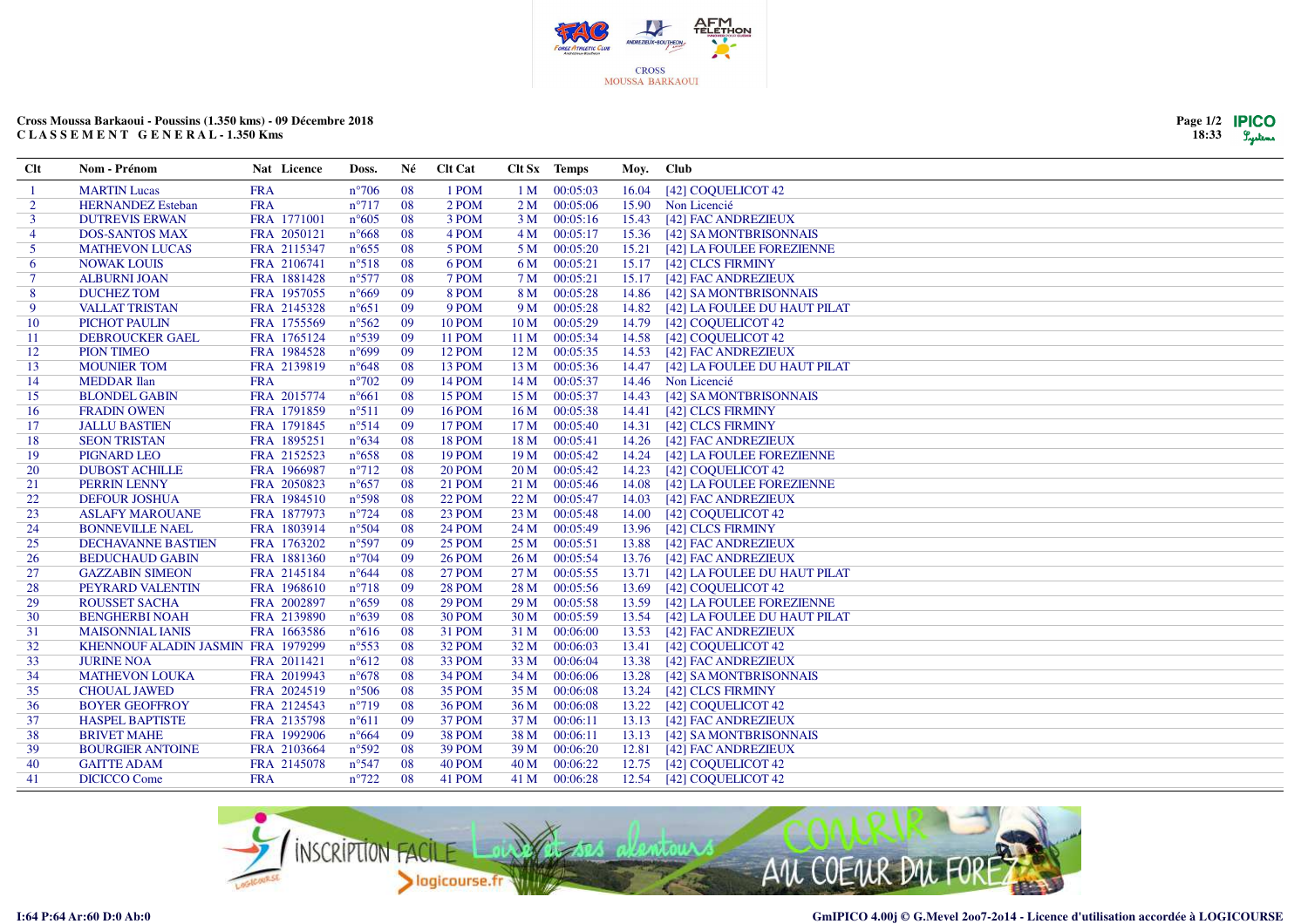

## **Cross Moussa Barkaoui - Poussins (1.350 kms) - 09 Décembre 2018C L A S S E M E N T G E N E R A L - 1.350 Kms**

| Page 1/2 | <b>IPICO</b> |
|----------|--------------|
| 18:33    | Lystems      |

| Clt            | Nom - Prénom                       | Nat Licence | Doss.          | Né  | <b>Clt Cat</b> |                 | Clt Sx Temps | Moy.  | <b>Club</b>                        |
|----------------|------------------------------------|-------------|----------------|-----|----------------|-----------------|--------------|-------|------------------------------------|
|                | <b>MARTIN Lucas</b>                | <b>FRA</b>  | $n^{\circ}706$ | 08  | 1 POM          | 1 M             | 00:05:03     | 16.04 | [42] COQUELICOT 42                 |
| 2              | <b>HERNANDEZ</b> Esteban           | <b>FRA</b>  | $n^{\circ}717$ | 08  | 2 POM          | 2 M             | 00:05:06     | 15.90 | Non Licencié                       |
| 3              | <b>DUTREVIS ERWAN</b>              | FRA 1771001 | $n^{\circ}605$ | 08  | 3 POM          | 3M              | 00:05:16     | 15.43 | [42] FAC ANDREZIEUX                |
| $\overline{4}$ | <b>DOS-SANTOS MAX</b>              | FRA 2050121 | $n^{\circ}668$ | 08  | 4 POM          | 4 M             | 00:05:17     | 15.36 | [42] SA MONTBRISONNAIS             |
| 5              | <b>MATHEVON LUCAS</b>              | FRA 2115347 | $n^{\circ}655$ | 08  | 5 POM          | 5 M             | 00:05:20     |       | 15.21 [42] LA FOULEE FOREZIENNE    |
| 6              | <b>NOWAK LOUIS</b>                 | FRA 2106741 | $n^{\circ}518$ | 08  | 6 POM          | 6 M             | 00:05:21     |       | 15.17 [42] CLCS FIRMINY            |
| $\tau$         | <b>ALBURNI JOAN</b>                | FRA 1881428 | $n^{\circ}577$ | 08  | 7 POM          | 7 <sub>M</sub>  | 00:05:21     |       | 15.17 [42] FAC ANDREZIEUX          |
| 8              | <b>DUCHEZ TOM</b>                  | FRA 1957055 | $n^{\circ}669$ | 09  | 8 POM          | 8 M             | 00:05:28     | 14.86 | [42] SA MONTBRISONNAIS             |
| 9              | <b>VALLAT TRISTAN</b>              | FRA 2145328 | $n^{\circ}651$ | 09  | 9 POM          | 9 M             | 00:05:28     |       | 14.82 [42] LA FOULEE DU HAUT PILAT |
| 10             | PICHOT PAULIN                      | FRA 1755569 | $n^{\circ}562$ | 09  | <b>10 POM</b>  | 10 M            | 00:05:29     | 14.79 | [42] COQUELICOT 42                 |
| 11             | <b>DEBROUCKER GAEL</b>             | FRA 1765124 | $n^{\circ}539$ | 09  | <b>11 POM</b>  | 11 <sub>M</sub> | 00:05:34     |       | 14.58 [42] COQUELICOT 42           |
| 12             | <b>PION TIMEO</b>                  | FRA 1984528 | $n^{\circ}699$ | 09  | 12 POM         | 12 <sub>M</sub> | 00:05:35     |       | 14.53 [42] FAC ANDREZIEUX          |
| 13             | <b>MOUNIER TOM</b>                 | FRA 2139819 | $n^{\circ}648$ | 08  | 13 POM         | 13 M            | 00:05:36     | 14.47 | [42] LA FOULEE DU HAUT PILAT       |
| 14             | <b>MEDDAR</b> Ilan                 | <b>FRA</b>  | $n^{\circ}702$ | 09  | <b>14 POM</b>  | 14 <sub>M</sub> | 00:05:37     |       | 14.46 Non Licencié                 |
| 15             | <b>BLONDEL GABIN</b>               | FRA 2015774 | $n^{\circ}661$ | 08  | 15 POM         | 15 <sub>M</sub> | 00:05:37     |       | 14.43 [42] SA MONTBRISONNAIS       |
| 16             | <b>FRADIN OWEN</b>                 | FRA 1791859 | $n^{\circ}511$ | 09  | <b>16 POM</b>  | 16 <sub>M</sub> | 00:05:38     |       | 14.41 [42] CLCS FIRMINY            |
| 17             | <b>JALLU BASTIEN</b>               | FRA 1791845 | $n^{\circ}514$ | -09 | 17 POM         | 17 <sub>M</sub> | 00:05:40     | 14.31 | [42] CLCS FIRMINY                  |
| 18             | <b>SEON TRISTAN</b>                | FRA 1895251 | $n^{\circ}634$ | 08  | <b>18 POM</b>  | 18 <sub>M</sub> | 00:05:41     | 14.26 | [42] FAC ANDREZIEUX                |
| 19             | PIGNARD LEO                        | FRA 2152523 | $n^{\circ}658$ | 08  | 19 POM         | 19 <sub>M</sub> | 00:05:42     |       | 14.24 [42] LA FOULEE FOREZIENNE    |
| 20             | <b>DUBOST ACHILLE</b>              | FRA 1966987 | $n^{\circ}712$ | 08  | <b>20 POM</b>  | 20 <sub>M</sub> | 00:05:42     |       | 14.23 [42] COQUELICOT 42           |
| 21             | PERRIN LENNY                       | FRA 2050823 | $n^{\circ}657$ | 08  | <b>21 POM</b>  | 21 M            | 00:05:46     | 14.08 | [42] LA FOULEE FOREZIENNE          |
| 22             | <b>DEFOUR JOSHUA</b>               | FRA 1984510 | $n^{\circ}598$ | 08  | 22 POM         | 22M             | 00:05:47     | 14.03 | [42] FAC ANDREZIEUX                |
| 23             | <b>ASLAFY MAROUANE</b>             | FRA 1877973 | $n^{\circ}724$ | 08  | 23 POM         | 23 M            | 00:05:48     | 14.00 | [42] COQUELICOT 42                 |
| 24             | <b>BONNEVILLE NAEL</b>             | FRA 1803914 | $n^{\circ}504$ | 08  | <b>24 POM</b>  | 24 M            | 00:05:49     | 13.96 | [42] CLCS FIRMINY                  |
| 25             | <b>DECHAVANNE BASTIEN</b>          | FRA 1763202 | $n^{\circ}597$ | 09  | 25 POM         | 25 M            | 00:05:51     | 13.88 | [42] FAC ANDREZIEUX                |
| 26             | <b>BEDUCHAUD GABIN</b>             | FRA 1881360 | $n^{\circ}704$ | 09  | <b>26 POM</b>  | 26 <sub>M</sub> | 00:05:54     | 13.76 | [42] FAC ANDREZIEUX                |
| 27             | <b>GAZZABIN SIMEON</b>             | FRA 2145184 | $n^{\circ}644$ | 08  | <b>27 POM</b>  | 27 M            | 00:05:55     |       | 13.71 [42] LA FOULEE DU HAUT PILAT |
| 28             | PEYRARD VALENTIN                   | FRA 1968610 | $n^{\circ}718$ | 09  | 28 POM         | 28 M            | 00:05:56     | 13.69 | [42] COQUELICOT 42                 |
| 29             | <b>ROUSSET SACHA</b>               | FRA 2002897 | $n^{\circ}659$ | 08  | 29 POM         | 29 <sub>M</sub> | 00:05:58     | 13.59 | [42] LA FOULEE FOREZIENNE          |
| 30             | <b>BENGHERBI NOAH</b>              | FRA 2139890 | $n^{\circ}639$ | 08  | 30 POM         | 30 <sub>M</sub> | 00:05:59     |       | 13.54 [42] LA FOULEE DU HAUT PILAT |
| 31             | <b>MAISONNIAL IANIS</b>            | FRA 1663586 | $n^{\circ}616$ | 08  | 31 POM         | 31 M            | 00:06:00     |       | 13.53 [42] FAC ANDREZIEUX          |
| 32             | KHENNOUF ALADIN JASMIN FRA 1979299 |             | $n^{\circ}553$ | 08  | 32 POM         | 32 M            | 00:06:03     |       | 13.41 [42] COQUELICOT 42           |
| 33             | <b>JURINE NOA</b>                  | FRA 2011421 | $n^{\circ}612$ | 08  | 33 POM         | 33 M            | 00:06:04     | 13.38 | [42] FAC ANDREZIEUX                |
| 34             | <b>MATHEVON LOUKA</b>              | FRA 2019943 | $n^{\circ}678$ | 08  | 34 POM         | 34 M            | 00:06:06     | 13.28 | [42] SA MONTBRISONNAIS             |
| 35             | <b>CHOUAL JAWED</b>                | FRA 2024519 | $n^{\circ}506$ | 08  | 35 POM         | 35 M            | 00:06:08     | 13.24 | [42] CLCS FIRMINY                  |
| 36             | <b>BOYER GEOFFROY</b>              | FRA 2124543 | $n^{\circ}719$ | 08  | <b>36 POM</b>  | 36 M            | 00:06:08     | 13.22 | [42] COQUELICOT 42                 |
| 37             | <b>HASPEL BAPTISTE</b>             | FRA 2135798 | $n^{\circ}611$ | 09  | 37 POM         | 37 M            | 00:06:11     |       | 13.13 [42] FAC ANDREZIEUX          |
| 38             | <b>BRIVET MAHE</b>                 | FRA 1992906 | $n^{\circ}664$ | 09  | 38 POM         | 38 M            | 00:06:11     |       | 13.13 [42] SA MONTBRISONNAIS       |
| 39             | <b>BOURGIER ANTOINE</b>            | FRA 2103664 | $n^{\circ}592$ | 08  | 39 POM         | 39 M            | 00:06:20     |       | 12.81 [42] FAC ANDREZIEUX          |
| 40             | <b>GAITTE ADAM</b>                 | FRA 2145078 | $n^{\circ}547$ | 08  | 40 POM         | 40 M            | 00:06:22     |       | 12.75 [42] COQUELICOT 42           |
| 41             | <b>DICICCO</b> Come                | <b>FRA</b>  | $n^{\circ}722$ | 08  | 41 POM         | 41 M            | 00:06:28     |       | 12.54 [42] COQUELICOT 42           |